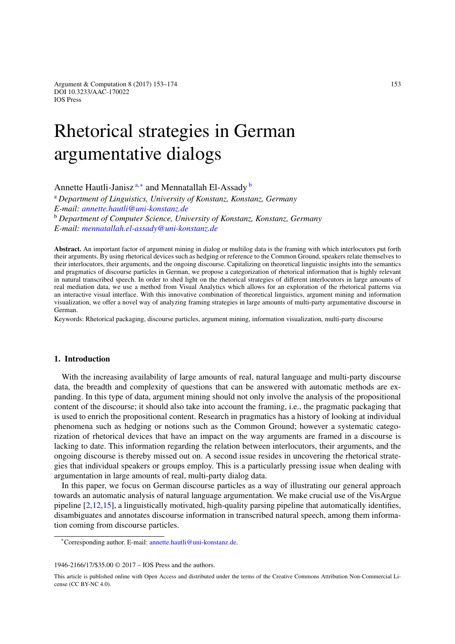Argument & Computation 8 (2017) 153–174 153 DOI 10.3233/AAC-170022 IOS Press

# Rhetorical strategies in German argumentative dialogs

<span id="page-0-0"></span>Annette Hautli-Janisz [a](#page-0-0)*,*[∗](#page-0-1) and Mennatallah El-Assady [b](#page-0-2)

<span id="page-0-2"></span><sup>a</sup> *Department of Linguistics, University of Konstanz, Konstanz, Germany E-mail: [annette.hautli@uni-konstanz.de](mailto:annette.hautli@uni-konstanz.de)* <sup>b</sup> *Department of Computer Science, University of Konstanz, Konstanz, Germany*

*E-mail: [mennatallah.el-assady@uni-konstanz.de](mailto:mennatallah.el-assady@uni-konstanz.de)*

**Abstract.** An important factor of argument mining in dialog or multilog data is the framing with which interlocutors put forth their arguments. By using rhetorical devices such as hedging or reference to the Common Ground, speakers relate themselves to their interlocutors, their arguments, and the ongoing discourse. Capitalizing on theoretical linguistic insights into the semantics and pragmatics of discourse particles in German, we propose a categorization of rhetorical information that is highly relevant in natural transcribed speech. In order to shed light on the rhetorical strategies of different interlocutors in large amounts of real mediation data, we use a method from Visual Analytics which allows for an exploration of the rhetorical patterns via an interactive visual interface. With this innovative combination of theoretical linguistics, argument mining and information visualization, we offer a novel way of analyzing framing strategies in large amounts of multi-party argumentative discourse in German.

Keywords: Rhetorical packaging, discourse particles, argument mining, information visualization, multi-party discourse

## **1. Introduction**

With the increasing availability of large amounts of real, natural language and multi-party discourse data, the breadth and complexity of questions that can be answered with automatic methods are expanding. In this type of data, argument mining should not only involve the analysis of the propositional content of the discourse; it should also take into account the framing, i.e., the pragmatic packaging that is used to enrich the propositional content. Research in pragmatics has a history of looking at individual phenomena such as hedging or notions such as the Common Ground; however a systematic categorization of rhetorical devices that have an impact on the way arguments are framed in a discourse is lacking to date. This information regarding the relation between interlocutors, their arguments, and the ongoing discourse is thereby missed out on. A second issue resides in uncovering the rhetorical strategies that individual speakers or groups employ. This is a particularly pressing issue when dealing with argumentation in large amounts of real, multi-party dialog data.

In this paper, we focus on German discourse particles as a way of illustrating our general approach towards an automatic analysis of natural language argumentation. We make crucial use of the VisArgue pipeline [\[2](#page-19-0)[,12](#page-19-1)[,15\]](#page-19-2), a linguistically motivated, high-quality parsing pipeline that automatically identifies, disambiguates and annotates discourse information in transcribed natural speech, among them information coming from discourse particles.

1946-2166/17/\$35.00 © 2017 – IOS Press and the authors.

<span id="page-0-1"></span><sup>\*</sup>Corresponding author. E-mail: [annette.hautli@uni-konstanz.de.](mailto:annette.hautli@uni-konstanz.de)

This article is published online with Open Access and distributed under the terms of the Creative Commons Attribution Non-Commercial License (CC BY-NC 4.0).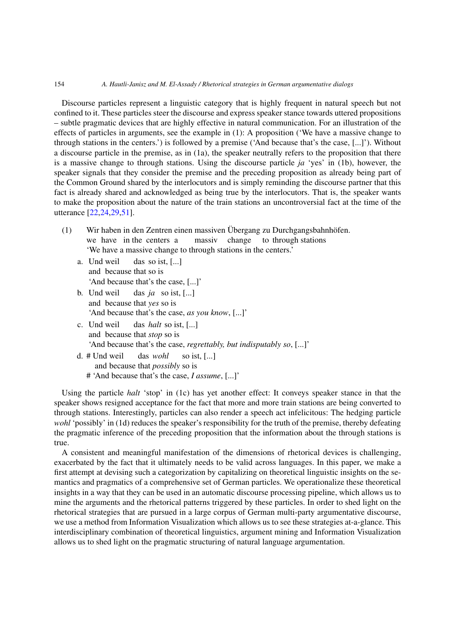Discourse particles represent a linguistic category that is highly frequent in natural speech but not confined to it. These particles steer the discourse and express speaker stance towards uttered propositions – subtle pragmatic devices that are highly effective in natural communication. For an illustration of the effects of particles in arguments, see the example in (1): A proposition ('We have a massive change to through stations in the centers.') is followed by a premise ('And because that's the case, [...]'). Without a discourse particle in the premise, as in (1a), the speaker neutrally refers to the proposition that there is a massive change to through stations. Using the discourse particle *ja* 'yes' in (1b), however, the speaker signals that they consider the premise and the preceding proposition as already being part of the Common Ground shared by the interlocutors and is simply reminding the discourse partner that this fact is already shared and acknowledged as being true by the interlocutors. That is, the speaker wants to make the proposition about the nature of the train stations an uncontroversial fact at the time of the utterance [\[22](#page-20-0)[,24](#page-20-1)[,29](#page-20-2)[,51\]](#page-21-0).

- (1) Wir haben in den Zentren einen massiven Übergang zu Durchgangsbahnhöfen. we have in the centers a massiv change to through stations 'We have a massive change to through stations in the centers.'
	- a. Und weil das so ist, [...] and because that so is 'And because that's the case, [...]'
	- b. Und weil das *ja* so ist, [...] and because that *yes* so is 'And because that's the case, *as you know*, [...]'
	- c. Und weil das *halt* so ist, [...] and because that *stop* so is 'And because that's the case, *regrettably, but indisputably so*, [...]'
	- d. # Und weil das *wohl* so ist, [...] and because that *possibly* so is # 'And because that's the case, *I assume*, [...]'

Using the particle *halt* 'stop' in (1c) has yet another effect: It conveys speaker stance in that the speaker shows resigned acceptance for the fact that more and more train stations are being converted to through stations. Interestingly, particles can also render a speech act infelicitous: The hedging particle *wohl* 'possibly' in (1d) reduces the speaker's responsibility for the truth of the premise, thereby defeating the pragmatic inference of the preceding proposition that the information about the through stations is true.

A consistent and meaningful manifestation of the dimensions of rhetorical devices is challenging, exacerbated by the fact that it ultimately needs to be valid across languages. In this paper, we make a first attempt at devising such a categorization by capitalizing on theoretical linguistic insights on the semantics and pragmatics of a comprehensive set of German particles. We operationalize these theoretical insights in a way that they can be used in an automatic discourse processing pipeline, which allows us to mine the arguments and the rhetorical patterns triggered by these particles. In order to shed light on the rhetorical strategies that are pursued in a large corpus of German multi-party argumentative discourse, we use a method from Information Visualization which allows us to see these strategies at-a-glance. This interdisciplinary combination of theoretical linguistics, argument mining and Information Visualization allows us to shed light on the pragmatic structuring of natural language argumentation.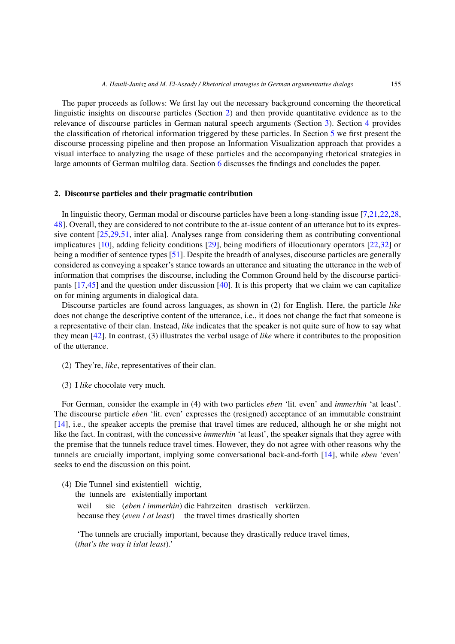The paper proceeds as follows: We first lay out the necessary background concerning the theoretical linguistic insights on discourse particles (Section [2\)](#page-2-0) and then provide quantitative evidence as to the relevance of discourse particles in German natural speech arguments (Section [3\)](#page-3-0). Section [4](#page-4-0) provides the classification of rhetorical information triggered by these particles. In Section [5](#page-10-0) we first present the discourse processing pipeline and then propose an Information Visualization approach that provides a visual interface to analyzing the usage of these particles and the accompanying rhetorical strategies in large amounts of German multilog data. Section [6](#page-18-0) discusses the findings and concludes the paper.

## <span id="page-2-0"></span>**2. Discourse particles and their pragmatic contribution**

In linguistic theory, German modal or discourse particles have been a long-standing issue [\[7](#page-19-3)[,21](#page-20-3)[,22](#page-20-0)[,28,](#page-20-4) [48\]](#page-21-1). Overall, they are considered to not contribute to the at-issue content of an utterance but to its expressive content [\[25](#page-20-5)[,29](#page-20-2)[,51](#page-21-0), inter alia]. Analyses range from considering them as contributing conventional implicatures [\[10\]](#page-19-4), adding felicity conditions [\[29](#page-20-2)], being modifiers of illocutionary operators [\[22](#page-20-0)[,32](#page-20-6)] or being a modifier of sentence types [\[51\]](#page-21-0). Despite the breadth of analyses, discourse particles are generally considered as conveying a speaker's stance towards an utterance and situating the utterance in the web of information that comprises the discourse, including the Common Ground held by the discourse participants  $[17,45]$  $[17,45]$  $[17,45]$  and the question under discussion  $[40]$  $[40]$ . It is this property that we claim we can capitalize on for mining arguments in dialogical data.

Discourse particles are found across languages, as shown in (2) for English. Here, the particle *like* does not change the descriptive content of the utterance, i.e., it does not change the fact that someone is a representative of their clan. Instead, *like* indicates that the speaker is not quite sure of how to say what they mean [\[42](#page-20-10)]. In contrast, (3) illustrates the verbal usage of *like* where it contributes to the proposition of the utterance.

- (2) They're, *like*, representatives of their clan.
- (3) I *like* chocolate very much.

For German, consider the example in (4) with two particles *eben* 'lit. even' and *immerhin* 'at least'. The discourse particle *eben* 'lit. even' expresses the (resigned) acceptance of an immutable constraint [\[14](#page-19-5)], i.e., the speaker accepts the premise that travel times are reduced, although he or she might not like the fact. In contrast, with the concessive *immerhin* 'at least', the speaker signals that they agree with the premise that the tunnels reduce travel times. However, they do not agree with other reasons why the tunnels are crucially important, implying some conversational back-and-forth [\[14](#page-19-5)], while *eben* 'even' seeks to end the discussion on this point.

(4) Die Tunnel sind existentiell wichtig,

the tunnels are existentially important

weil sie (*eben* / *immerhin*) die Fahrzeiten drastisch verkürzen. because they (*even* / *at least*) the travel times drastically shorten

'The tunnels are crucially important, because they drastically reduce travel times, (*that's the way it is*/*at least*).'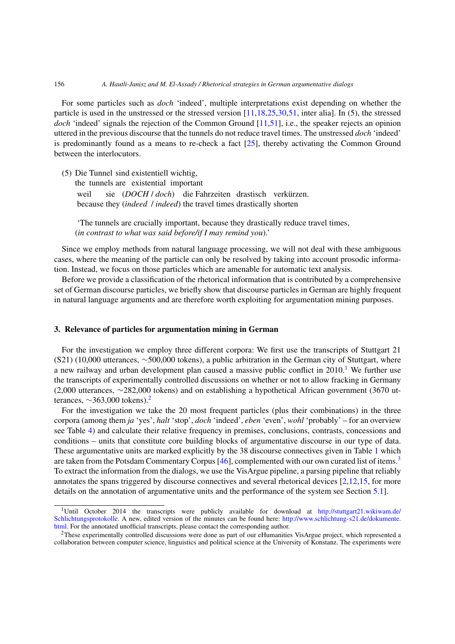For some particles such as *doch* 'indeed', multiple interpretations exist depending on whether the particle is used in the unstressed or the stressed version [\[11](#page-19-6)[,18](#page-20-11)[,25](#page-20-5)[,30](#page-20-12)[,51](#page-21-0), inter alia]. In (5), the stressed *doch* 'indeed' signals the rejection of the Common Ground [\[11](#page-19-6)[,51\]](#page-21-0), i.e., the speaker rejects an opinion uttered in the previous discourse that the tunnels do not reduce travel times. The unstressed *doch* 'indeed' is predominantly found as a means to re-check a fact  $[25]$ , thereby activating the Common Ground between the interlocutors.

(5) Die Tunnel sind existentiell wichtig,

the tunnels are existential important weil sie (*DOCH* / *doch*) die Fahrzeiten drastisch verkürzen. because they (*indeed* / *indeed*) the travel times drastically shorten

'The tunnels are crucially important, because they drastically reduce travel times, (*in contrast to what was said before/if I may remind you*).'

Since we employ methods from natural language processing, we will not deal with these ambiguous cases, where the meaning of the particle can only be resolved by taking into account prosodic information. Instead, we focus on those particles which are amenable for automatic text analysis.

Before we provide a classification of the rhetorical information that is contributed by a comprehensive set of German discourse particles, we briefly show that discourse particles in German are highly frequent in natural language arguments and are therefore worth exploiting for argumentation mining purposes.

## <span id="page-3-0"></span>**3. Relevance of particles for argumentation mining in German**

For the investigation we employ three different corpora: We first use the transcripts of Stuttgart 21 (S21) (10,000 utterances, ∼500,000 tokens), a public arbitration in the German city of Stuttgart, where a new railway and urban development plan caused a massive public conflict in  $2010<sup>1</sup>$  $2010<sup>1</sup>$  $2010<sup>1</sup>$  We further use the transcripts of experimentally controlled discussions on whether or not to allow fracking in Germany (2,000 utterances, ∼282,000 tokens) and on establishing a hypothetical African government (3670 utterances,  $\sim$ 363,000 tokens).<sup>2</sup>

For the investigation we take the 20 most frequent particles (plus their combinations) in the three corpora (among them *ja* 'yes', *halt* 'stop', *doch* 'indeed', *eben* 'even', *wohl* 'probably' – for an overview see Table [4\)](#page-11-0) and calculate their relative frequency in premises, conclusions, contrasts, concessions and conditions – units that constitute core building blocks of argumentative discourse in our type of data. These argumentative units are marked explicitly by the 38 discourse connectives given in Table [1](#page-4-1) which are taken from the Potsdam Commentary Corpus [\[46](#page-21-2)], complemented with our own curated list of items.<sup>[3](#page-4-2)</sup> To extract the information from the dialogs, we use the VisArgue pipeline, a parsing pipeline that reliably annotates the spans triggered by discourse connectives and several rhetorical devices [\[2](#page-19-0)[,12](#page-19-1)[,15,](#page-19-2) for more details on the annotation of argumentative units and the performance of the system see Section [5.1\]](#page-10-1).

<span id="page-3-1"></span><sup>1</sup>Until October 2014 the transcripts were publicly available for download at [http://stuttgart21.wikiwam.de/](http://stuttgart21.wikiwam.de/Schlichtungsprotokolle) [Schlichtungsprotokolle.](http://stuttgart21.wikiwam.de/Schlichtungsprotokolle) A new, edited version of the minutes can be found here: [http://www.schlichtung-s21.de/dokumente.](http://www.schlichtung-s21.de/dokumente.html) [html.](http://www.schlichtung-s21.de/dokumente.html) For the annotated unofficial transcripts, please contact the corresponding author.

<span id="page-3-2"></span><sup>2</sup>These experimentally controlled discussions were done as part of our eHumanities VisArgue project, which represented a collaboration between computer science, linguistics and political science at the University of Konstanz. The experiments were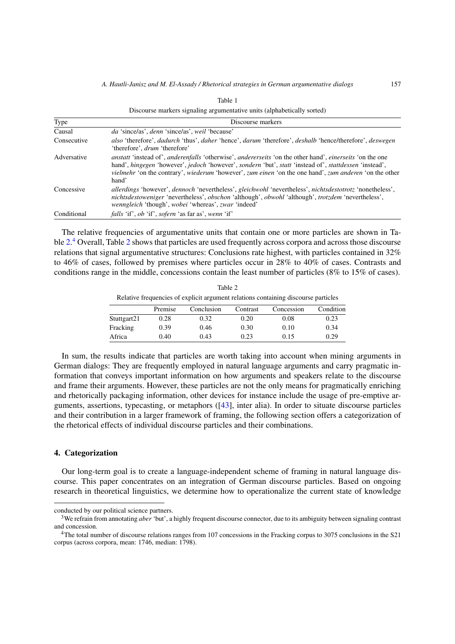<span id="page-4-1"></span>

| Discourse markers signaling argumentative units (alphabetically sorted) |                                                                                                                                                                                                                                                                                                                                                                                               |  |  |  |
|-------------------------------------------------------------------------|-----------------------------------------------------------------------------------------------------------------------------------------------------------------------------------------------------------------------------------------------------------------------------------------------------------------------------------------------------------------------------------------------|--|--|--|
| Type                                                                    | Discourse markers                                                                                                                                                                                                                                                                                                                                                                             |  |  |  |
| Causal                                                                  | <i>da</i> 'since/as', <i>denn</i> 'since/as', <i>weil</i> 'because'                                                                                                                                                                                                                                                                                                                           |  |  |  |
| Consecutive                                                             | also 'therefore', dadurch 'thus', daher 'hence', darum 'therefore', deshalb 'hence/therefore', deswegen<br>'therefore', <i>drum</i> 'therefore'                                                                                                                                                                                                                                               |  |  |  |
| Adversative                                                             | <i>anstatt</i> 'instead of', <i>anderenfalls</i> 'otherwise', <i>andererseits</i> 'on the other hand', <i>einerseits</i> 'on the one<br>hand', hingegen 'however', jedoch 'however', sondern 'but', statt 'instead of', stattdessen 'instead',<br><i>vielmehr</i> 'on the contrary', <i>wiederum</i> 'however', <i>zum einen</i> 'on the one hand', <i>zum anderen</i> 'on the other<br>hand' |  |  |  |
| Concessive                                                              | allerdings 'however', dennoch 'nevertheless', gleichwohl 'nevertheless', nichtsdestotrotz 'nonetheless',<br><i>nichtsdestoweniger</i> 'nevertheless', <i>obschon</i> 'although', <i>obwohl</i> 'although', <i>trotzdem</i> 'nevertheless',<br><i>wenngleich</i> 'though', <i>wobei</i> 'whereas', <i>zwar</i> 'indeed'                                                                        |  |  |  |
| Conditional                                                             | <i>falls</i> 'if', <i>ob</i> 'if', <i>sofern</i> 'as far as', <i>wenn</i> 'if'                                                                                                                                                                                                                                                                                                                |  |  |  |

The relative frequencies of argumentative units that contain one or more particles are shown in Ta-ble [2.](#page-4-3)<sup>[4](#page-4-4)</sup> Overall, Table [2](#page-4-3) shows that particles are used frequently across corpora and across those discourse relations that signal argumentative structures: Conclusions rate highest, with particles contained in 32% to 46% of cases, followed by premises where particles occur in 28% to 40% of cases. Contrasts and conditions range in the middle, concessions contain the least number of particles (8% to 15% of cases).

 $T = 1.1 - 2$ 

<span id="page-4-3"></span>

| 140EZ                                                                              |         |            |          |            |           |  |  |  |
|------------------------------------------------------------------------------------|---------|------------|----------|------------|-----------|--|--|--|
| Relative frequencies of explicit argument relations containing discourse particles |         |            |          |            |           |  |  |  |
|                                                                                    | Premise | Conclusion | Contrast | Concession | Condition |  |  |  |
| Stuttgart21                                                                        | 0.28    | 0.32       | 0.20     | 0.08       | 0.23      |  |  |  |
| Fracking                                                                           | 0.39    | 0.46       | 0.30     | 0.10       | 0.34      |  |  |  |
| Africa                                                                             | 0.40    | 0.43       | 0.23     | 0.15       | 0.29      |  |  |  |

In sum, the results indicate that particles are worth taking into account when mining arguments in German dialogs: They are frequently employed in natural language arguments and carry pragmatic information that conveys important information on how arguments and speakers relate to the discourse and frame their arguments. However, these particles are not the only means for pragmatically enriching and rhetorically packaging information, other devices for instance include the usage of pre-emptive arguments, assertions, typecasting, or metaphors ([\[43\]](#page-20-13), inter alia). In order to situate discourse particles and their contribution in a larger framework of framing, the following section offers a categorization of the rhetorical effects of individual discourse particles and their combinations.

## <span id="page-4-0"></span>**4. Categorization**

Our long-term goal is to create a language-independent scheme of framing in natural language discourse. This paper concentrates on an integration of German discourse particles. Based on ongoing research in theoretical linguistics, we determine how to operationalize the current state of knowledge

conducted by our political science partners.

<span id="page-4-2"></span><sup>&</sup>lt;sup>3</sup>We refrain from annotating *aber* 'but', a highly frequent discourse connector, due to its ambiguity between signaling contrast and concession.

<span id="page-4-4"></span><sup>&</sup>lt;sup>4</sup>The total number of discourse relations ranges from 107 concessions in the Fracking corpus to 3075 conclusions in the S21 corpus (across corpora, mean: 1746, median: 1798).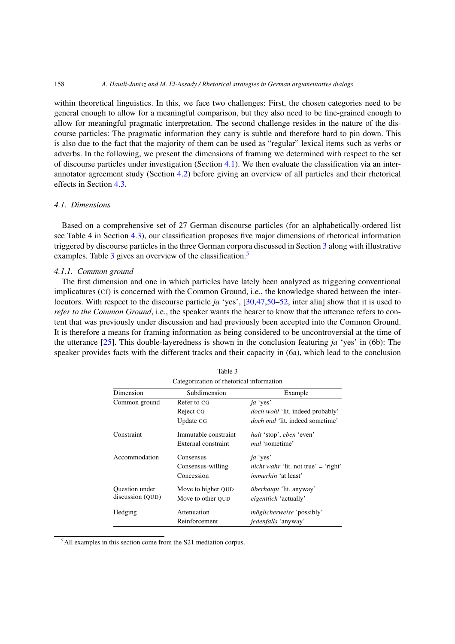within theoretical linguistics. In this, we face two challenges: First, the chosen categories need to be general enough to allow for a meaningful comparison, but they also need to be fine-grained enough to allow for meaningful pragmatic interpretation. The second challenge resides in the nature of the discourse particles: The pragmatic information they carry is subtle and therefore hard to pin down. This is also due to the fact that the majority of them can be used as "regular" lexical items such as verbs or adverbs. In the following, we present the dimensions of framing we determined with respect to the set of discourse particles under investigation (Section [4.1\)](#page-5-0). We then evaluate the classification via an interannotator agreement study (Section [4.2\)](#page-9-0) before giving an overview of all particles and their rhetorical effects in Section [4.3.](#page-10-2)

## <span id="page-5-0"></span>*4.1. Dimensions*

Based on a comprehensive set of 27 German discourse particles (for an alphabetically-ordered list see Table 4 in Section [4.3\)](#page-10-2), our classification proposes five major dimensions of rhetorical information triggered by discourse particles in the three German corpora discussed in Section [3](#page-3-0) along with illustrative examples. Table [3](#page-5-1) gives an overview of the classification.<sup>[5](#page-5-2)</sup>

## *4.1.1. Common ground*

The first dimension and one in which particles have lately been analyzed as triggering conventional implicatures (CI) is concerned with the Common Ground, i.e., the knowledge shared between the interlocutors. With respect to the discourse particle *ja* 'yes', [\[30](#page-20-12)[,47](#page-21-3)[,50](#page-21-4)[–52,](#page-21-5) inter alia] show that it is used to *refer to the Common Ground*, i.e., the speaker wants the hearer to know that the utterance refers to content that was previously under discussion and had previously been accepted into the Common Ground. It is therefore a means for framing information as being considered to be uncontroversial at the time of the utterance [\[25](#page-20-5)]. This double-layeredness is shown in the conclusion featuring *ja* 'yes' in (6b): The speaker provides facts with the different tracks and their capacity in (6a), which lead to the conclusion

| Calegorization of rhetorical information |                      |                                             |  |  |  |
|------------------------------------------|----------------------|---------------------------------------------|--|--|--|
| Dimension                                | Subdimension         | Example                                     |  |  |  |
| Common ground                            | Refer to CG          | ja 'yes'                                    |  |  |  |
|                                          | Reject CG            | <i>doch wohl</i> 'lit. indeed probably'     |  |  |  |
|                                          | Update CG            | <i>doch mal</i> 'lit, indeed sometime'      |  |  |  |
| Constraint                               | Immutable constraint | <i>halt</i> 'stop', <i>eben</i> 'even'      |  |  |  |
|                                          | External constraint  | <i>mal</i> 'sometime'                       |  |  |  |
| Accommodation                            | Consensus            | <i>ja</i> 'yes'                             |  |  |  |
|                                          | Consensus-willing    | <i>nicht wahr</i> 'lit. not true' = 'right' |  |  |  |
|                                          | Concession           | <i>immerhin</i> 'at least'                  |  |  |  |
| <b>Ouestion under</b>                    | Move to higher QUD   | <i>überhaupt</i> 'lit. anyway'              |  |  |  |
| discussion (OUD)                         | Move to other OUD    | <i>eigentlich</i> 'actually'                |  |  |  |
| Hedging                                  | Attenuation          | <i>möglicherweise</i> 'possibly'            |  |  |  |
|                                          | Reinforcement        | <i>jedenfalls</i> 'anyway'                  |  |  |  |

<span id="page-5-1"></span>Table 3 Categorization of rhetorical information

<span id="page-5-2"></span>5All examples in this section come from the S21 mediation corpus.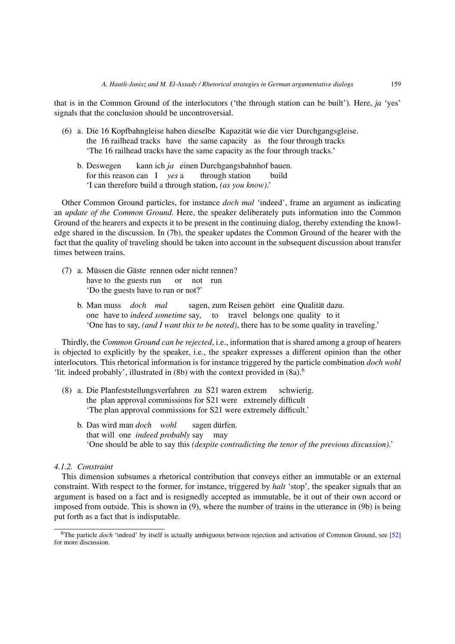that is in the Common Ground of the interlocutors ('the through station can be built'). Here, *ja* 'yes' signals that the conclusion should be uncontroversial.

- (6) a. Die 16 Kopfbahngleise haben dieselbe Kapazität wie die vier Durchgangsgleise. the 16 railhead tracks have the same capacity as the four through tracks 'The 16 railhead tracks have the same capacity as the four through tracks.'
	- b. Deswegen kann ich *ja* einen Durchgangsbahnhof bauen. for this reason can I *yes* a through station build 'I can therefore build a through station, *(as you know)*.'

Other Common Ground particles, for instance *doch mal* 'indeed', frame an argument as indicating an *update of the Common Ground*. Here, the speaker deliberately puts information into the Common Ground of the hearers and expects it to be present in the continuing dialog, thereby extending the knowledge shared in the discussion. In (7b), the speaker updates the Common Ground of the hearer with the fact that the quality of traveling should be taken into account in the subsequent discussion about transfer times between trains.

- (7) a. Müssen die Gäste rennen oder nicht rennen? have to the guests run or not run 'Do the guests have to run or not?'
	- b. Man muss *doch mal* sagen, zum Reisen gehört eine Qualität dazu. one have to *indeed sometime* say, to travel belongs one quality to it 'One has to say, *(and I want this to be noted)*, there has to be some quality in traveling.'

Thirdly, the *Common Ground can be rejected*, i.e., information that is shared among a group of hearers is objected to explicitly by the speaker, i.e., the speaker expresses a different opinion than the other interlocutors. This rhetorical information is for instance triggered by the particle combination *doch wohl* 'lit. indeed probably', illustrated in  $(8b)$  with the context provided in  $(8a)$ .<sup>[6](#page-6-0)</sup>

- (8) a. Die Planfeststellungsverfahren zu S21 waren extrem schwierig. the plan approval commissions for S21 were extremely difficult 'The plan approval commissions for S21 were extremely difficult.'
	- b. Das wird man *doch wohl* sagen dürfen. that will one *indeed probably* say may 'One should be able to say this *(despite contradicting the tenor of the previous discussion)*.'

# *4.1.2. Constraint*

This dimension subsumes a rhetorical contribution that conveys either an immutable or an external constraint. With respect to the former, for instance, triggered by *halt* 'stop', the speaker signals that an argument is based on a fact and is resignedly accepted as immutable, be it out of their own accord or imposed from outside. This is shown in (9), where the number of trains in the utterance in (9b) is being put forth as a fact that is indisputable.

<span id="page-6-0"></span><sup>6</sup>The particle *doch* 'indeed' by itself is actually ambiguous between rejection and activation of Common Ground, see [\[52](#page-21-5)] for more discussion.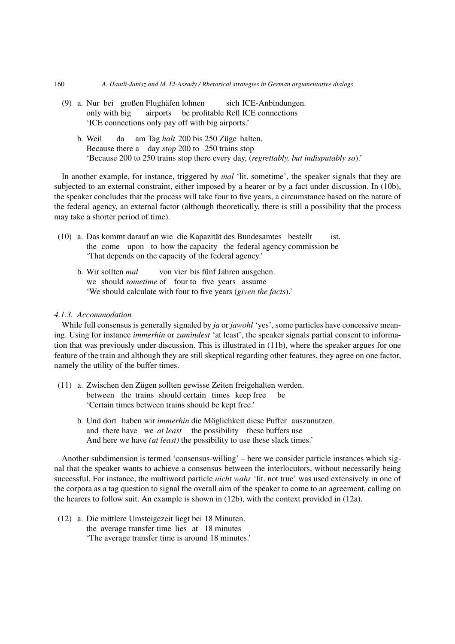- (9) a. Nur bei großen Flughäfen lohnen sich ICE-Anbindungen. only with big airports be profitable Refl ICE connections 'ICE connections only pay off with big airports.'
	- b. Weil da am Tag *halt* 200 bis 250 Züge halten. Because there a day *stop* 200 to 250 trains stop 'Because 200 to 250 trains stop there every day, (*regrettably, but indisputably so*).'

In another example, for instance, triggered by *mal* 'lit. sometime', the speaker signals that they are subjected to an external constraint, either imposed by a hearer or by a fact under discussion. In (10b), the speaker concludes that the process will take four to five years, a circumstance based on the nature of the federal agency, an external factor (although theoretically, there is still a possibility that the process may take a shorter period of time).

- (10) a. Das kommt darauf an wie die Kapazität des Bundesamtes bestellt ist. the come upon to how the capacity the federal agency commission be 'That depends on the capacity of the federal agency.'
	- b. Wir sollten *mal* von vier bis fünf Jahren ausgehen. we should *sometime* of four to five years assume 'We should calculate with four to five years (*given the facts*).'

# *4.1.3. Accommodation*

While full consensus is generally signaled by *ja* or *jawohl* 'yes', some particles have concessive meaning. Using for instance *immerhin* or *zumindest* 'at least', the speaker signals partial consent to information that was previously under discussion. This is illustrated in (11b), where the speaker argues for one feature of the train and although they are still skeptical regarding other features, they agree on one factor, namely the utility of the buffer times.

- (11) a. Zwischen den Zügen sollten gewisse Zeiten freigehalten werden. between the trains should certain times keep free be 'Certain times between trains should be kept free.'
	- b. Und dort haben wir *immerhin* die Möglichkeit diese Puffer auszunutzen. and there have we *at least* the possibility these buffers use And here we have *(at least)* the possibility to use these slack times.'

Another subdimension is termed 'consensus-willing' – here we consider particle instances which signal that the speaker wants to achieve a consensus between the interlocutors, without necessarily being successful. For instance, the multiword particle *nicht wahr* 'lit. not true' was used extensively in one of the corpora as a tag question to signal the overall aim of the speaker to come to an agreement, calling on the hearers to follow suit. An example is shown in (12b), with the context provided in (12a).

(12) a. Die mittlere Umsteigezeit liegt bei 18 Minuten. the average transfer time lies at 18 minutes 'The average transfer time is around 18 minutes.'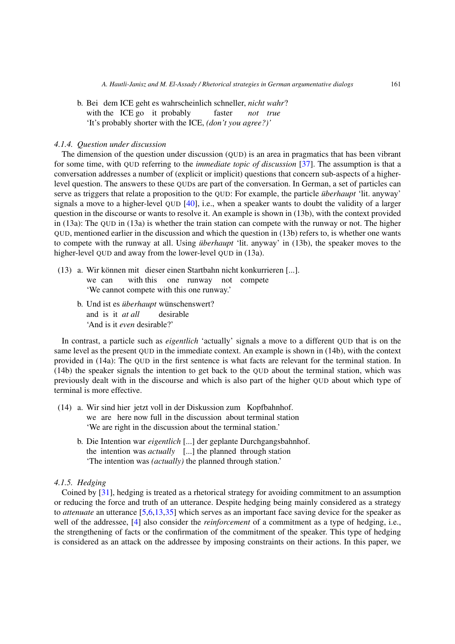b. Bei dem ICE geht es wahrscheinlich schneller, *nicht wahr*? with the ICE go it probably faster *not true* 'It's probably shorter with the ICE, *(don't you agree?)'*

## *4.1.4. Question under discussion*

The dimension of the question under discussion (QUD) is an area in pragmatics that has been vibrant for some time, with QUD referring to the *immediate topic of discussion* [\[37\]](#page-20-14). The assumption is that a conversation addresses a number of (explicit or implicit) questions that concern sub-aspects of a higherlevel question. The answers to these QUDs are part of the conversation. In German, a set of particles can serve as triggers that relate a proposition to the QUD: For example, the particle *überhaupt* 'lit. anyway' signals a move to a higher-level QUD [\[40\]](#page-20-9), i.e., when a speaker wants to doubt the validity of a larger question in the discourse or wants to resolve it. An example is shown in (13b), with the context provided in (13a): The QUD in (13a) is whether the train station can compete with the runway or not. The higher QUD, mentioned earlier in the discussion and which the question in (13b) refers to, is whether one wants to compete with the runway at all. Using *überhaupt* 'lit. anyway' in (13b), the speaker moves to the higher-level QUD and away from the lower-level QUD in (13a).

- (13) a. Wir können mit dieser einen Startbahn nicht konkurrieren [...]. we can with this one runway not compete 'We cannot compete with this one runway.'
	- b. Und ist es *überhaupt* wünschenswert? and is it *at all* desirable 'And is it *even* desirable?'

In contrast, a particle such as *eigentlich* 'actually' signals a move to a different QUD that is on the same level as the present QUD in the immediate context. An example is shown in (14b), with the context provided in (14a): The QUD in the first sentence is what facts are relevant for the terminal station. In (14b) the speaker signals the intention to get back to the QUD about the terminal station, which was previously dealt with in the discourse and which is also part of the higher QUD about which type of terminal is more effective.

- (14) a. Wir sind hier jetzt voll in der Diskussion zum Kopfbahnhof. we are here now full in the discussion about terminal station 'We are right in the discussion about the terminal station.'
	- b. Die Intention war *eigentlich* [...] der geplante Durchgangsbahnhof. the intention was *actually* [...] the planned through station 'The intention was *(actually)* the planned through station.'

# *4.1.5. Hedging*

Coined by [\[31\]](#page-20-15), hedging is treated as a rhetorical strategy for avoiding commitment to an assumption or reducing the force and truth of an utterance. Despite hedging being mainly considered as a strategy to *attenuate* an utterance [\[5](#page-19-7)[,6](#page-19-8)[,13](#page-19-9)[,35](#page-20-16)] which serves as an important face saving device for the speaker as well of the addressee, [\[4\]](#page-19-10) also consider the *reinforcement* of a commitment as a type of hedging, i.e., the strengthening of facts or the confirmation of the commitment of the speaker. This type of hedging is considered as an attack on the addressee by imposing constraints on their actions. In this paper, we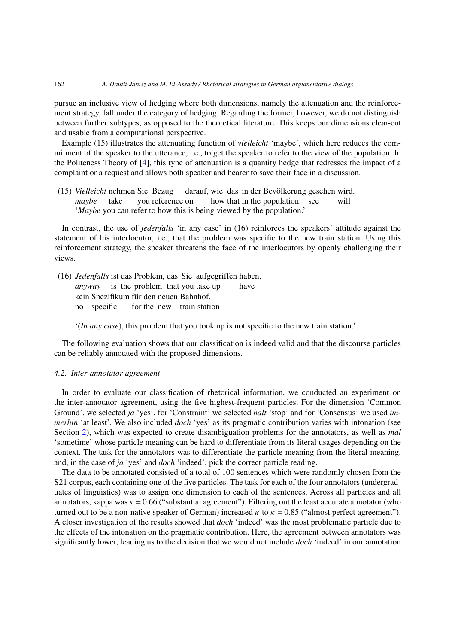pursue an inclusive view of hedging where both dimensions, namely the attenuation and the reinforcement strategy, fall under the category of hedging. Regarding the former, however, we do not distinguish between further subtypes, as opposed to the theoretical literature. This keeps our dimensions clear-cut and usable from a computational perspective.

Example (15) illustrates the attenuating function of *vielleicht* 'maybe', which here reduces the commitment of the speaker to the utterance, i.e., to get the speaker to refer to the view of the population. In the Politeness Theory of [\[4\]](#page-19-10), this type of attenuation is a quantity hedge that redresses the impact of a complaint or a request and allows both speaker and hearer to save their face in a discussion.

(15) *Vielleicht* nehmen Sie Bezug darauf, wie das in der Bevölkerung gesehen wird. *maybe* take you reference on how that in the population see will '*Maybe* you can refer to how this is being viewed by the population.'

In contrast, the use of *jedenfalls* 'in any case' in (16) reinforces the speakers' attitude against the statement of his interlocutor, i.e., that the problem was specific to the new train station. Using this reinforcement strategy, the speaker threatens the face of the interlocutors by openly challenging their views.

(16) *Jedenfalls* ist das Problem, das Sie aufgegriffen haben, *anyway* is the problem that you take up have kein Spezifikum für den neuen Bahnhof. no specific for the new train station

'(*In any case*), this problem that you took up is not specific to the new train station.'

The following evaluation shows that our classification is indeed valid and that the discourse particles can be reliably annotated with the proposed dimensions.

## <span id="page-9-0"></span>*4.2. Inter-annotator agreement*

In order to evaluate our classification of rhetorical information, we conducted an experiment on the inter-annotator agreement, using the five highest-frequent particles. For the dimension 'Common Ground', we selected *ja* 'yes', for 'Constraint' we selected *halt* 'stop' and for 'Consensus' we used *immerhin* 'at least'. We also included *doch* 'yes' as its pragmatic contribution varies with intonation (see Section [2\)](#page-2-0), which was expected to create disambiguation problems for the annotators, as well as *mal* 'sometime' whose particle meaning can be hard to differentiate from its literal usages depending on the context. The task for the annotators was to differentiate the particle meaning from the literal meaning, and, in the case of *ja* 'yes' and *doch* 'indeed', pick the correct particle reading.

The data to be annotated consisted of a total of 100 sentences which were randomly chosen from the S21 corpus, each containing one of the five particles. The task for each of the four annotators (undergraduates of linguistics) was to assign one dimension to each of the sentences. Across all particles and all annotators, kappa was  $\kappa = 0.66$  ("substantial agreement"). Filtering out the least accurate annotator (who turned out to be a non-native speaker of German) increased  $\kappa$  to  $\kappa = 0.85$  ("almost perfect agreement"). A closer investigation of the results showed that *doch* 'indeed' was the most problematic particle due to the effects of the intonation on the pragmatic contribution. Here, the agreement between annotators was significantly lower, leading us to the decision that we would not include *doch* 'indeed' in our annotation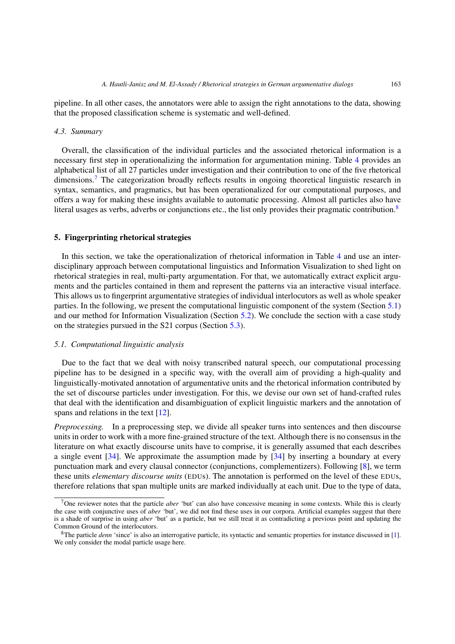pipeline. In all other cases, the annotators were able to assign the right annotations to the data, showing that the proposed classification scheme is systematic and well-defined.

#### <span id="page-10-2"></span>*4.3. Summary*

Overall, the classification of the individual particles and the associated rhetorical information is a necessary first step in operationalizing the information for argumentation mining. Table [4](#page-11-0) provides an alphabetical list of all 27 particles under investigation and their contribution to one of the five rhetorical dimensions.<sup>7</sup> The categorization broadly reflects results in ongoing theoretical linguistic research in syntax, semantics, and pragmatics, but has been operationalized for our computational purposes, and offers a way for making these insights available to automatic processing. Almost all particles also have literal usages as verbs, adverbs or conjunctions etc., the list only provides their pragmatic contribution.<sup>8</sup>

#### <span id="page-10-0"></span>**5. Fingerprinting rhetorical strategies**

In this section, we take the operationalization of rhetorical information in Table [4](#page-11-0) and use an interdisciplinary approach between computational linguistics and Information Visualization to shed light on rhetorical strategies in real, multi-party argumentation. For that, we automatically extract explicit arguments and the particles contained in them and represent the patterns via an interactive visual interface. This allows us to fingerprint argumentative strategies of individual interlocutors as well as whole speaker parties. In the following, we present the computational linguistic component of the system (Section [5.1\)](#page-10-1) and our method for Information Visualization (Section [5.2\)](#page-13-0). We conclude the section with a case study on the strategies pursued in the S21 corpus (Section [5.3\)](#page-14-0).

#### <span id="page-10-1"></span>*5.1. Computational linguistic analysis*

Due to the fact that we deal with noisy transcribed natural speech, our computational processing pipeline has to be designed in a specific way, with the overall aim of providing a high-quality and linguistically-motivated annotation of argumentative units and the rhetorical information contributed by the set of discourse particles under investigation. For this, we devise our own set of hand-crafted rules that deal with the identification and disambiguation of explicit linguistic markers and the annotation of spans and relations in the text [\[12](#page-19-1)].

*Preprocessing.* In a preprocessing step, we divide all speaker turns into sentences and then discourse units in order to work with a more fine-grained structure of the text. Although there is no consensus in the literature on what exactly discourse units have to comprise, it is generally assumed that each describes a single event [\[34](#page-20-17)]. We approximate the assumption made by [\[34\]](#page-20-17) by inserting a boundary at every punctuation mark and every clausal connector (conjunctions, complementizers). Following [\[8\]](#page-19-11), we term these units *elementary discourse units* (EDUs). The annotation is performed on the level of these EDUs, therefore relations that span multiple units are marked individually at each unit. Due to the type of data,

<span id="page-10-3"></span><sup>7</sup>One reviewer notes that the particle *aber* 'but' can also have concessive meaning in some contexts. While this is clearly the case with conjunctive uses of *aber* 'but', we did not find these uses in our corpora. Artificial examples suggest that there is a shade of surprise in using *aber* 'but' as a particle, but we still treat it as contradicting a previous point and updating the Common Ground of the interlocutors.

<span id="page-10-4"></span><sup>8</sup>The particle *denn* 'since' is also an interrogative particle, its syntactic and semantic properties for instance discussed in [\[1](#page-19-12)]. We only consider the modal particle usage here.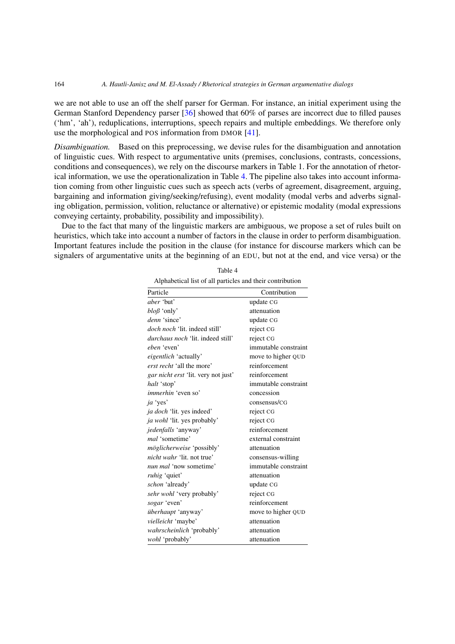we are not able to use an off the shelf parser for German. For instance, an initial experiment using the German Stanford Dependency parser [\[36](#page-20-18)] showed that 60% of parses are incorrect due to filled pauses ('hm', 'ah'), reduplications, interruptions, speech repairs and multiple embeddings. We therefore only use the morphological and POS information from DMOR [\[41](#page-20-19)].

*Disambiguation.* Based on this preprocessing, we devise rules for the disambiguation and annotation of linguistic cues. With respect to argumentative units (premises, conclusions, contrasts, concessions, conditions and consequences), we rely on the discourse markers in Table 1. For the annotation of rhetorical information, we use the operationalization in Table [4.](#page-11-0) The pipeline also takes into account information coming from other linguistic cues such as speech acts (verbs of agreement, disagreement, arguing, bargaining and information giving/seeking/refusing), event modality (modal verbs and adverbs signaling obligation, permission, volition, reluctance or alternative) or epistemic modality (modal expressions conveying certainty, probability, possibility and impossibility).

Due to the fact that many of the linguistic markers are ambiguous, we propose a set of rules built on heuristics, which take into account a number of factors in the clause in order to perform disambiguation. Important features include the position in the clause (for instance for discourse markers which can be signalers of argumentative units at the beginning of an EDU, but not at the end, and vice versa) or the

<span id="page-11-0"></span>

| Particle                                 | Contribution         |
|------------------------------------------|----------------------|
| aber 'but'                               | update CG            |
| $b \log$ 'only'                          | attenuation          |
| denn 'since'                             | update CG            |
| <i>doch noch</i> 'lit, indeed still'     | reject CG            |
| <i>durchaus noch</i> 'lit, indeed still' | reject CG            |
| eben 'even'                              | immutable constraint |
| <i>eigentlich</i> 'actually'             | move to higher QUD   |
| erst recht 'all the more'                | reinforcement        |
| gar nicht erst 'lit. very not just'      | reinforcement        |
| halt 'stop'                              | immutable constraint |
| <i>immerhin</i> 'even so'                | concession           |
| ja 'yes'                                 | consensus/CG         |
| ja doch 'lit. yes indeed'                | reject CG            |
| ja wohl 'lit. yes probably'              | reject CG            |
| jedenfalls 'anyway'                      | reinforcement        |
| mal 'sometime'                           | external constraint  |
| <i>möglicherweise</i> 'possibly'         | attenuation          |
| <i>nicht wahr</i> 'lit, not true'        | consensus-willing    |
| nun mal 'now sometime'                   | immutable constraint |
| <i>ruhig</i> 'quiet'                     | attenuation          |
| schon 'already'                          | update CG            |
| sehr wohl 'very probably'                | reject CG            |
| sogar 'even'                             | reinforcement        |
| überhaupt 'anyway'                       | move to higher QUD   |
| vielleicht 'maybe'                       | attenuation          |
| wahrscheinlich 'probably'                | attenuation          |
| wohl 'probably'                          | attenuation          |

Table 4 Alphabetical list of all particles and their contribution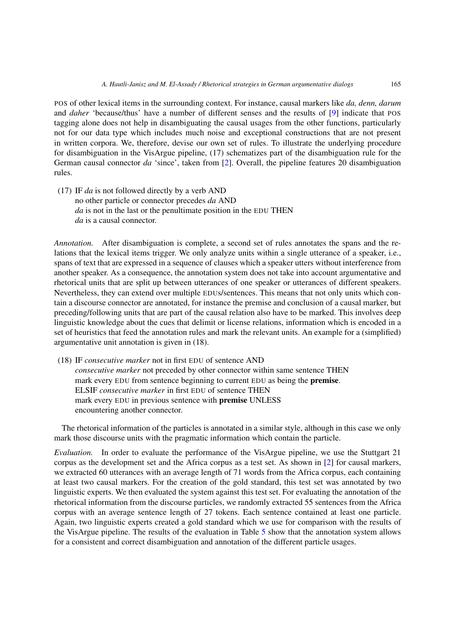POS of other lexical items in the surrounding context. For instance, causal markers like *da, denn, darum* and *daher* 'because/thus' have a number of different senses and the results of [\[9](#page-19-13)] indicate that POS tagging alone does not help in disambiguating the causal usages from the other functions, particularly not for our data type which includes much noise and exceptional constructions that are not present in written corpora. We, therefore, devise our own set of rules. To illustrate the underlying procedure for disambiguation in the VisArgue pipeline, (17) schematizes part of the disambiguation rule for the German causal connector *da* 'since', taken from [\[2](#page-19-0)]. Overall, the pipeline features 20 disambiguation rules.

(17) IF *da* is not followed directly by a verb AND no other particle or connector precedes *da* AND *da* is not in the last or the penultimate position in the EDU THEN *da* is a causal connector.

*Annotation.* After disambiguation is complete, a second set of rules annotates the spans and the relations that the lexical items trigger. We only analyze units within a single utterance of a speaker, i.e., spans of text that are expressed in a sequence of clauses which a speaker utters without interference from another speaker. As a consequence, the annotation system does not take into account argumentative and rhetorical units that are split up between utterances of one speaker or utterances of different speakers. Nevertheless, they can extend over multiple EDUs/sentences. This means that not only units which contain a discourse connector are annotated, for instance the premise and conclusion of a causal marker, but preceding/following units that are part of the causal relation also have to be marked. This involves deep linguistic knowledge about the cues that delimit or license relations, information which is encoded in a set of heuristics that feed the annotation rules and mark the relevant units. An example for a (simplified) argumentative unit annotation is given in (18).

(18) IF *consecutive marker* not in first EDU of sentence AND *consecutive marker* not preceded by other connector within same sentence THEN mark every EDU from sentence beginning to current EDU as being the **premise**. ELSIF *consecutive marker* in first EDU of sentence THEN mark every EDU in previous sentence with **premise** UNLESS encountering another connector.

The rhetorical information of the particles is annotated in a similar style, although in this case we only mark those discourse units with the pragmatic information which contain the particle.

*Evaluation.* In order to evaluate the performance of the VisArgue pipeline, we use the Stuttgart 21 corpus as the development set and the Africa corpus as a test set. As shown in [\[2\]](#page-19-0) for causal markers, we extracted 60 utterances with an average length of 71 words from the Africa corpus, each containing at least two causal markers. For the creation of the gold standard, this test set was annotated by two linguistic experts. We then evaluated the system against this test set. For evaluating the annotation of the rhetorical information from the discourse particles, we randomly extracted 55 sentences from the Africa corpus with an average sentence length of 27 tokens. Each sentence contained at least one particle. Again, two linguistic experts created a gold standard which we use for comparison with the results of the VisArgue pipeline. The results of the evaluation in Table [5](#page-13-1) show that the annotation system allows for a consistent and correct disambiguation and annotation of the different particle usages.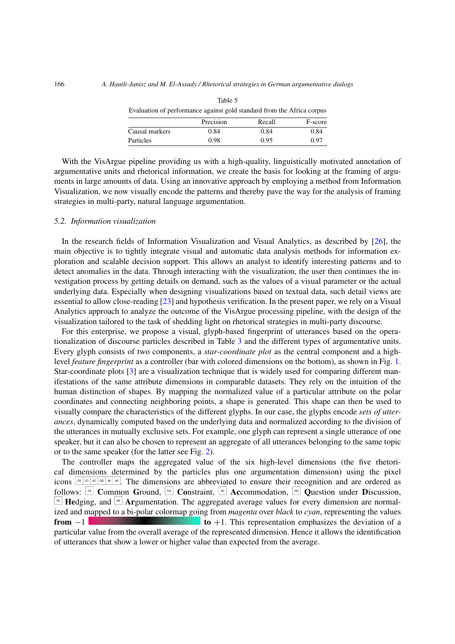<span id="page-13-1"></span>

| Evaluation of performance against gold standard from the Africa corpus |           |        |         |  |  |
|------------------------------------------------------------------------|-----------|--------|---------|--|--|
|                                                                        | Precision | Recall | F-score |  |  |
| Causal markers                                                         | 0.84      | 0.84   | 0.84    |  |  |
| Particles                                                              | 0.98      | 0.95   | 0.97    |  |  |

Table 5

With the VisArgue pipeline providing us with a high-quality, linguistically motivated annotation of argumentative units and rhetorical information, we create the basis for looking at the framing of arguments in large amounts of data. Using an innovative approach by employing a method from Information Visualization, we now visually encode the patterns and thereby pave the way for the analysis of framing strategies in multi-party, natural language argumentation.

## <span id="page-13-0"></span>*5.2. Information visualization*

In the research fields of Information Visualization and Visual Analytics, as described by [\[26\]](#page-20-20), the main objective is to tightly integrate visual and automatic data analysis methods for information exploration and scalable decision support. This allows an analyst to identify interesting patterns and to detect anomalies in the data. Through interacting with the visualization, the user then continues the investigation process by getting details on demand, such as the values of a visual parameter or the actual underlying data. Especially when designing visualizations based on textual data, such detail views are essential to allow close-reading [\[23\]](#page-20-21) and hypothesis verification. In the present paper, we rely on a Visual Analytics approach to analyze the outcome of the VisArgue processing pipeline, with the design of the visualization tailored to the task of shedding light on rhetorical strategies in multi-party discourse.

For this enterprise, we propose a visual, glyph-based fingerprint of utterances based on the operationalization of discourse particles described in Table [3](#page-5-1) and the different types of argumentative units. Every glyph consists of two components, a *star-coordinate plot* as the central component and a highlevel *feature fingerprint* as a controller (bar with colored dimensions on the bottom), as shown in Fig. [1.](#page-14-1) Star-coordinate plots [\[3\]](#page-19-14) are a visualization technique that is widely used for comparing different manifestations of the same attribute dimensions in comparable datasets. They rely on the intuition of the human distinction of shapes. By mapping the normalized value of a particular attribute on the polar coordinates and connecting neighboring points, a shape is generated. This shape can then be used to visually compare the characteristics of the different glyphs. In our case, the glyphs encode *sets of utterances*, dynamically computed based on the underlying data and normalized according to the division of the utterances in mutually exclusive sets. For example, one glyph can represent a single utterance of one speaker, but it can also be chosen to represent an aggregate of all utterances belonging to the same topic or to the same speaker (for the latter see Fig. [2\)](#page-15-0).

The controller maps the aggregated value of the six high-level dimensions (the five rhetorical dimensions determined by the particles plus one argumentation dimension) using the pixel icons  $\sqrt{\frac{1}{\sqrt{m}} \sqrt{\frac{m}{m}} \sqrt{\frac{m}{m}}}$ . The dimensions are abbreviated to ensure their recognition and are ordered as follows:  $\begin{bmatrix} \infty \\ \infty \end{bmatrix}$  Common **G**round,  $\begin{bmatrix} \infty \\ \infty \end{bmatrix}$  Constraint,  $\begin{bmatrix} \infty \\ \infty \end{bmatrix}$  Accommodation,  $\begin{bmatrix} \infty \\ \infty \end{bmatrix}$  Question under Discussion,  $F_{\text{eff}}$  **Hedging, and**  $\mathbb{A}^s$  **Argumentation. The aggregated average values for every dimension are normal**ized and mapped to a bi-polar colormap going from *magenta* over *black* to *cyan*, representing the values **from**  $-1$  **to**  $+1$ . This representation emphasizes the deviation of a particular value from the overall average of the represented dimension. Hence it allows the identification of utterances that show a lower or higher value than expected from the average.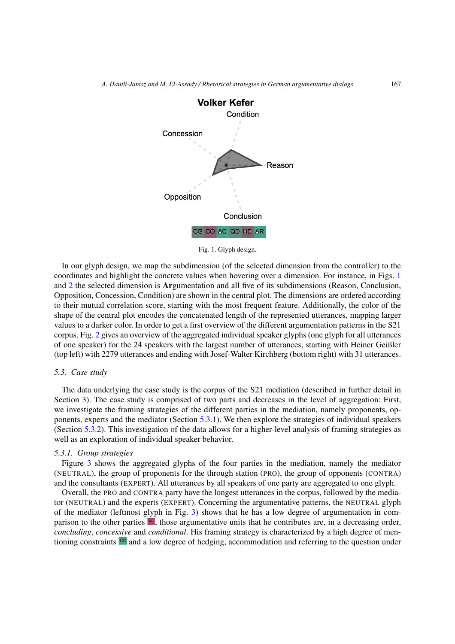

<span id="page-14-1"></span>Fig. 1. Glyph design.

In our glyph design, we map the subdimension (of the selected dimension from the controller) to the coordinates and highlight the concrete values when hovering over a dimension. For instance, in Figs. [1](#page-14-1) and [2](#page-15-0) the selected dimension is **Ar**gumentation and all five of its subdimensions (Reason, Conclusion, Opposition, Concession, Condition) are shown in the central plot. The dimensions are ordered according to their mutual correlation score, starting with the most frequent feature. Additionally, the color of the shape of the central plot encodes the concatenated length of the represented utterances, mapping larger values to a darker color. In order to get a first overview of the different argumentation patterns in the S21 corpus, Fig. [2](#page-15-0) gives an overview of the aggregated individual speaker glyphs (one glyph for all utterances of one speaker) for the 24 speakers with the largest number of utterances, starting with Heiner Geißler (top left) with 2279 utterances and ending with Josef-Walter Kirchberg (bottom right) with 31 utterances.

#### <span id="page-14-0"></span>*5.3. Case study*

The data underlying the case study is the corpus of the S21 mediation (described in further detail in Section [3\)](#page-3-0). The case study is comprised of two parts and decreases in the level of aggregation: First, we investigate the framing strategies of the different parties in the mediation, namely proponents, opponents, experts and the mediator (Section [5.3.1\)](#page-14-2). We then explore the strategies of individual speakers (Section [5.3.2\)](#page-17-0). This investigation of the data allows for a higher-level analysis of framing strategies as well as an exploration of individual speaker behavior.

## <span id="page-14-2"></span>*5.3.1. Group strategies*

Figure [3](#page-16-0) shows the aggregated glyphs of the four parties in the mediation, namely the mediator (NEUTRAL), the group of proponents for the through station (PRO), the group of opponents (CONTRA) and the consultants (EXPERT). All utterances by all speakers of one party are aggregated to one glyph.

Overall, the PRO and CONTRA party have the longest utterances in the corpus, followed by the mediator (NEUTRAL) and the experts (EXPERT). Concerning the argumentative patterns, the NEUTRAL glyph of the mediator (leftmost glyph in Fig. [3\)](#page-16-0) shows that he has a low degree of argumentation in comparison to the other parties  $|A\mathbf{R}|$ , those argumentative units that he contributes are, in a decreasing order, *concluding*, *concessive* and *conditional*. His framing strategy is characterized by a high degree of mentioning constraints  $\frac{1}{2}$  and a low degree of hedging, accommodation and referring to the question under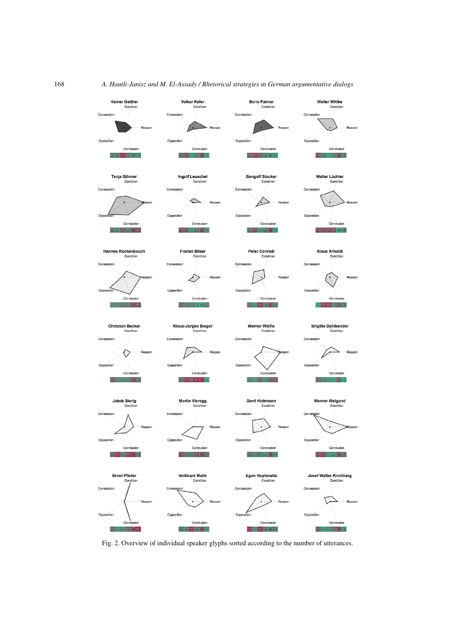

<span id="page-15-0"></span>Fig. 2. Overview of individual speaker glyphs sorted according to the number of utterances.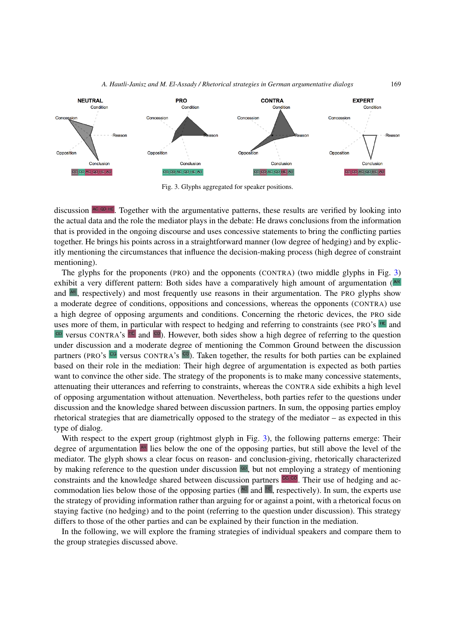



<span id="page-16-0"></span>Fig. 3. Glyphs aggregated for speaker positions.

discussion  $\infty$   $\infty$   $\infty$ . Together with the argumentative patterns, these results are verified by looking into the actual data and the role the mediator plays in the debate: He draws conclusions from the information that is provided in the ongoing discourse and uses concessive statements to bring the conflicting parties together. He brings his points across in a straightforward manner (low degree of hedging) and by explicitly mentioning the circumstances that influence the decision-making process (high degree of constraint mentioning).

The glyphs for the proponents (PRO) and the opponents (CONTRA) (two middle glyphs in Fig. [3\)](#page-16-0) exhibit a very different pattern: Both sides have a comparatively high amount of argumentation ( $\mathbb{R}^R$ ) and  $\overline{AB}$ , respectively) and most frequently use reasons in their argumentation. The PRO glyphs show a moderate degree of conditions, oppositions and concessions, whereas the opponents (CONTRA) use a high degree of opposing arguments and conditions. Concerning the rhetoric devices, the PRO side uses more of them, in particular with respect to hedging and referring to constraints (see PRO's  $^{\text{HE}}$  and co versus CONTRA's <sup>HE</sup> and  $\infty$ ). However, both sides show a high degree of referring to the question under discussion and a moderate degree of mentioning the Common Ground between the discussion partners (PRO's <sup>CG</sup> versus CONTRA's <sup>CG</sup>). Taken together, the results for both parties can be explained based on their role in the mediation: Their high degree of argumentation is expected as both parties want to convince the other side. The strategy of the proponents is to make many concessive statements, attenuating their utterances and referring to constraints, whereas the CONTRA side exhibits a high level of opposing argumentation without attenuation. Nevertheless, both parties refer to the questions under discussion and the knowledge shared between discussion partners. In sum, the opposing parties employ rhetorical strategies that are diametrically opposed to the strategy of the mediator – as expected in this type of dialog.

With respect to the expert group (rightmost glyph in Fig. [3\)](#page-16-0), the following patterns emerge: Their degree of argumentation **RE** lies below the one of the opposing parties, but still above the level of the mediator. The glyph shows a clear focus on reason- and conclusion-giving, rhetorically characterized by making reference to the question under discussion  $\infty$ , but not employing a strategy of mentioning constraints and the knowledge shared between discussion partners  $\frac{\cos \infty}{\cos \infty}$ . Their use of hedging and accommodation lies below those of the opposing parties ( $\infty$  and  $\infty$ , respectively). In sum, the experts use the strategy of providing information rather than arguing for or against a point, with a rhetorical focus on staying factive (no hedging) and to the point (referring to the question under discussion). This strategy differs to those of the other parties and can be explained by their function in the mediation.

In the following, we will explore the framing strategies of individual speakers and compare them to the group strategies discussed above.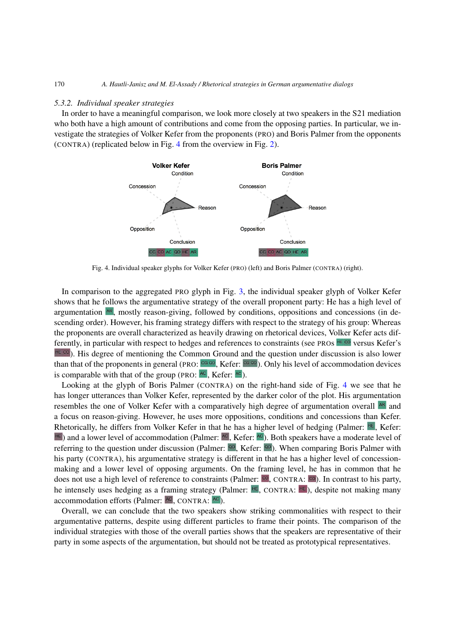#### <span id="page-17-0"></span>*5.3.2. Individual speaker strategies*

In order to have a meaningful comparison, we look more closely at two speakers in the S21 mediation who both have a high amount of contributions and come from the opposing parties. In particular, we investigate the strategies of Volker Kefer from the proponents (PRO) and Boris Palmer from the opponents (CONTRA) (replicated below in Fig. [4](#page-17-1) from the overview in Fig. [2\)](#page-15-0).



<span id="page-17-1"></span>Fig. 4. Individual speaker glyphs for Volker Kefer (PRO) (left) and Boris Palmer (CONTRA) (right).

In comparison to the aggregated PRO glyph in Fig. [3,](#page-16-0) the individual speaker glyph of Volker Kefer shows that he follows the argumentative strategy of the overall proponent party: He has a high level of argumentation  $|AB|$ , mostly reason-giving, followed by conditions, oppositions and concessions (in descending order). However, his framing strategy differs with respect to the strategy of his group: Whereas the proponents are overall characterized as heavily drawing on rhetorical devices, Volker Kefer acts differently, in particular with respect to hedges and references to constraints (see PROs  $H\in\infty$  versus Kefer's  $\text{Hg}$  ( $\text{Hg}$ ). His degree of mentioning the Common Ground and the question under discussion is also lower than that of the proponents in general (PRO:  $C \circ \omega$ , Kefer:  $C \circ \omega$ ). Only his level of accommodation devices is comparable with that of the group (PRO:  $AC$ , Kefer:  $AC$ ).

Looking at the glyph of Boris Palmer (CONTRA) on the right-hand side of Fig. [4](#page-17-1) we see that he has longer utterances than Volker Kefer, represented by the darker color of the plot. His argumentation resembles the one of Volker Kefer with a comparatively high degree of argumentation overall **AR** and a focus on reason-giving. However, he uses more oppositions, conditions and concessions than Kefer. Rhetorically, he differs from Volker Kefer in that he has a higher level of hedging (Palmer:  $\text{He}$ , Kefer: **EE)** and a lower level of accommodation (Palmer:  $AC$ , Kefer:  $AC$ ). Both speakers have a moderate level of referring to the question under discussion (Palmer:  $\circ$ ). Kefer:  $\circ$ ). When comparing Boris Palmer with his party (CONTRA), his argumentative strategy is different in that he has a higher level of concessionmaking and a lower level of opposing arguments. On the framing level, he has in common that he does not use a high level of reference to constraints (Palmer:  $\infty$ , CONTRA:  $\infty$ ). In contrast to his party, he intensely uses hedging as a framing strategy (Palmer:  $\frac{1}{16}$ , CONTRA:  $\frac{1}{16}$ ), despite not making many accommodation efforts (Palmer:  $AC$ , CONTRA:  $AC$ ).

Overall, we can conclude that the two speakers show striking commonalities with respect to their argumentative patterns, despite using different particles to frame their points. The comparison of the individual strategies with those of the overall parties shows that the speakers are representative of their party in some aspects of the argumentation, but should not be treated as prototypical representatives.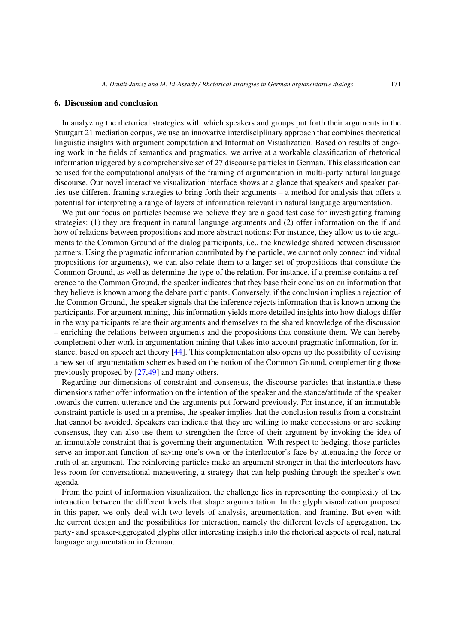#### <span id="page-18-0"></span>**6. Discussion and conclusion**

In analyzing the rhetorical strategies with which speakers and groups put forth their arguments in the Stuttgart 21 mediation corpus, we use an innovative interdisciplinary approach that combines theoretical linguistic insights with argument computation and Information Visualization. Based on results of ongoing work in the fields of semantics and pragmatics, we arrive at a workable classification of rhetorical information triggered by a comprehensive set of 27 discourse particles in German. This classification can be used for the computational analysis of the framing of argumentation in multi-party natural language discourse. Our novel interactive visualization interface shows at a glance that speakers and speaker parties use different framing strategies to bring forth their arguments – a method for analysis that offers a potential for interpreting a range of layers of information relevant in natural language argumentation.

We put our focus on particles because we believe they are a good test case for investigating framing strategies: (1) they are frequent in natural language arguments and (2) offer information on the if and how of relations between propositions and more abstract notions: For instance, they allow us to tie arguments to the Common Ground of the dialog participants, i.e., the knowledge shared between discussion partners. Using the pragmatic information contributed by the particle, we cannot only connect individual propositions (or arguments), we can also relate them to a larger set of propositions that constitute the Common Ground, as well as determine the type of the relation. For instance, if a premise contains a reference to the Common Ground, the speaker indicates that they base their conclusion on information that they believe is known among the debate participants. Conversely, if the conclusion implies a rejection of the Common Ground, the speaker signals that the inference rejects information that is known among the participants. For argument mining, this information yields more detailed insights into how dialogs differ in the way participants relate their arguments and themselves to the shared knowledge of the discussion – enriching the relations between arguments and the propositions that constitute them. We can hereby complement other work in argumentation mining that takes into account pragmatic information, for instance, based on speech act theory [\[44\]](#page-20-22). This complementation also opens up the possibility of devising a new set of argumentation schemes based on the notion of the Common Ground, complementing those previously proposed by [\[27](#page-20-23)[,49\]](#page-21-6) and many others.

Regarding our dimensions of constraint and consensus, the discourse particles that instantiate these dimensions rather offer information on the intention of the speaker and the stance/attitude of the speaker towards the current utterance and the arguments put forward previously. For instance, if an immutable constraint particle is used in a premise, the speaker implies that the conclusion results from a constraint that cannot be avoided. Speakers can indicate that they are willing to make concessions or are seeking consensus, they can also use them to strengthen the force of their argument by invoking the idea of an immutable constraint that is governing their argumentation. With respect to hedging, those particles serve an important function of saving one's own or the interlocutor's face by attenuating the force or truth of an argument. The reinforcing particles make an argument stronger in that the interlocutors have less room for conversational maneuvering, a strategy that can help pushing through the speaker's own agenda.

From the point of information visualization, the challenge lies in representing the complexity of the interaction between the different levels that shape argumentation. In the glyph visualization proposed in this paper, we only deal with two levels of analysis, argumentation, and framing. But even with the current design and the possibilities for interaction, namely the different levels of aggregation, the party- and speaker-aggregated glyphs offer interesting insights into the rhetorical aspects of real, natural language argumentation in German.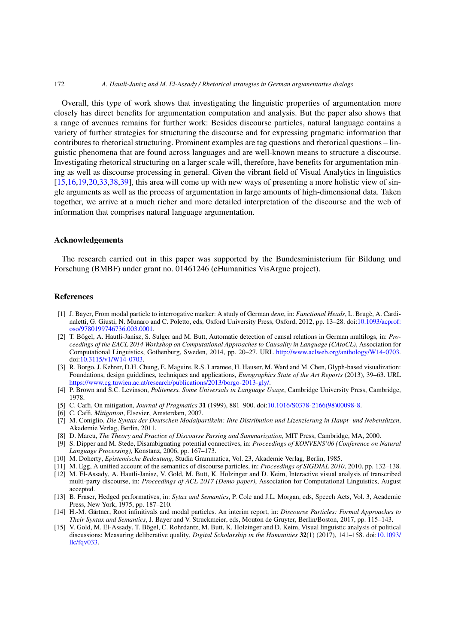Overall, this type of work shows that investigating the linguistic properties of argumentation more closely has direct benefits for argumentation computation and analysis. But the paper also shows that a range of avenues remains for further work: Besides discourse particles, natural language contains a variety of further strategies for structuring the discourse and for expressing pragmatic information that contributes to rhetorical structuring. Prominent examples are tag questions and rhetorical questions – linguistic phenomena that are found across languages and are well-known means to structure a discourse. Investigating rhetorical structuring on a larger scale will, therefore, have benefits for argumentation mining as well as discourse processing in general. Given the vibrant field of Visual Analytics in linguistics [\[15](#page-19-2)[,16](#page-20-24)[,19](#page-20-25)[,20](#page-20-26)[,33](#page-20-27)[,38](#page-20-28)[,39](#page-20-29)], this area will come up with new ways of presenting a more holistic view of single arguments as well as the process of argumentation in large amounts of high-dimensional data. Taken together, we arrive at a much richer and more detailed interpretation of the discourse and the web of information that comprises natural language argumentation.

#### **Acknowledgements**

The research carried out in this paper was supported by the Bundesministerium für Bildung und Forschung (BMBF) under grant no. 01461246 (eHumanities VisArgue project).

#### **References**

- <span id="page-19-12"></span>[1] J. Bayer, From modal particle to interrogative marker: A study of German *denn*, in: *Functional Heads*, L. Brugè, A. Cardinaletti, G. Giusti, N. Munaro and C. Poletto, eds, Oxford University Press, Oxford, 2012, pp. 13–28. doi[:10.1093/acprof:](http://dx.doi.org/10.1093/acprof:oso/9780199746736.003.0001) [oso/9780199746736.003.0001.](http://dx.doi.org/10.1093/acprof:oso/9780199746736.003.0001)
- <span id="page-19-0"></span>[2] T. Bögel, A. Hautli-Janisz, S. Sulger and M. Butt, Automatic detection of causal relations in German multilogs, in: *Proceedings of the EACL 2014 Workshop on Computational Approaches to Causality in Language (CAtoCL)*, Association for Computational Linguistics, Gothenburg, Sweden, 2014, pp. 20–27. URL [http://www.aclweb.org/anthology/W14-0703.](http://www.aclweb.org/anthology/W14-0703) doi[:10.3115/v1/W14-0703.](http://dx.doi.org/10.3115/v1/W14-0703)
- <span id="page-19-14"></span>[3] R. Borgo, J. Kehrer, D.H. Chung, E. Maguire, R.S. Laramee, H. Hauser, M. Ward and M. Chen, Glyph-based visualization: Foundations, design guidelines, techniques and applications, *Eurographics State of the Art Reports* (2013), 39–63. URL [https://www.cg.tuwien.ac.at/research/publications/2013/borgo-2013-gly/.](https://www.cg.tuwien.ac.at/research/publications/2013/borgo-2013-gly/)
- <span id="page-19-10"></span>[4] P. Brown and S.C. Levinson, *Politeness. Some Universals in Language Usage*, Cambridge University Press, Cambridge, 1978.
- <span id="page-19-7"></span>[5] C. Caffi, On mitigation, *Journal of Pragmatics* **31** (1999), 881–900. doi[:10.1016/S0378-2166\(98\)00098-8.](http://dx.doi.org/10.1016/S0378-2166(98)00098-8)
- <span id="page-19-8"></span>[6] C. Caffi, *Mitigation*, Elsevier, Amsterdam, 2007.
- <span id="page-19-3"></span>[7] M. Coniglio, *Die Syntax der Deutschen Modalpartikeln: Ihre Distribution und Lizenzierung in Haupt- und Nebensätzen*, Akademie Verlag, Berlin, 2011.
- <span id="page-19-11"></span>[8] D. Marcu, *The Theory and Practice of Discourse Parsing and Summarization*, MIT Press, Cambridge, MA, 2000.
- <span id="page-19-13"></span>[9] S. Dipper and M. Stede, Disambiguating potential connectives, in: *Proceedings of KONVENS'06 (Conference on Natural Language Processing)*, Konstanz, 2006, pp. 167–173.
- <span id="page-19-4"></span>[10] M. Doherty, *Epistemische Bedeutung*, Studia Grammatica, Vol. 23, Akademie Verlag, Berlin, 1985.
- <span id="page-19-6"></span>[11] M. Egg, A unified account of the semantics of discourse particles, in: *Proceedings of SIGDIAL 2010*, 2010, pp. 132–138. [12] M. El-Assady, A. Hautli-Janisz, V. Gold, M. Butt, K. Holzinger and D. Keim, Interactive visual analysis of transcribed
- <span id="page-19-1"></span>multi-party discourse, in: *Proceedings of ACL 2017 (Demo paper)*, Association for Computational Linguistics, August accepted.
- <span id="page-19-9"></span>[13] B. Fraser, Hedged performatives, in: *Sytax and Semantics*, P. Cole and J.L. Morgan, eds, Speech Acts, Vol. 3, Academic Press, New York, 1975, pp. 187–210.
- <span id="page-19-5"></span>[14] H.-M. Gärtner, Root infinitivals and modal particles. An interim report, in: *Discourse Particles: Formal Approaches to Their Syntax and Semantics*, J. Bayer and V. Struckmeier, eds, Mouton de Gruyter, Berlin/Boston, 2017, pp. 115–143.
- <span id="page-19-2"></span>[15] V. Gold, M. El-Assady, T. Bögel, C. Rohrdantz, M. Butt, K. Holzinger and D. Keim, Visual linguistic analysis of political discussions: Measuring deliberative quality, *Digital Scholarship in the Humanities* **32**(1) (2017), 141–158. doi[:10.1093/](http://dx.doi.org/10.1093/llc/fqv033) [llc/fqv033.](http://dx.doi.org/10.1093/llc/fqv033)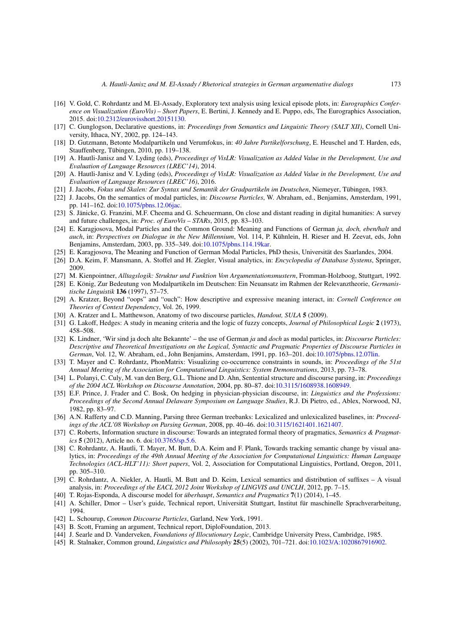- <span id="page-20-24"></span>[16] V. Gold, C. Rohrdantz and M. El-Assady, Exploratory text analysis using lexical episode plots, in: *Eurographics Conference on Visualization (EuroVis) – Short Papers*, E. Bertini, J. Kennedy and E. Puppo, eds, The Eurographics Association, 2015. doi[:10.2312/eurovisshort.20151130.](http://dx.doi.org/10.2312/eurovisshort.20151130)
- <span id="page-20-7"></span>[17] C. Gunglogson, Declarative questions, in: *Proceedings from Semantics and Linguistic Theory (SALT XII)*, Cornell University, Ithaca, NY, 2002, pp. 124–143.
- <span id="page-20-11"></span>[18] D. Gutzmann, Betonte Modalpartikeln und Verumfokus, in: *40 Jahre Partikelforschung*, E. Heuschel and T. Harden, eds, Stauffenberg, Tübingen, 2010, pp. 119–138.
- <span id="page-20-25"></span>[19] A. Hautli-Janisz and V. Lyding (eds), *Proceedings of VisLR: Visualization as Added Value in the Development, Use and Evaluation of Language Resources (LREC'14)*, 2014.
- <span id="page-20-26"></span>[20] A. Hautli-Janisz and V. Lyding (eds), *Proceedings of VisLR: Visualization as Added Value in the Development, Use and Evaluation of Language Resources (LREC'16)*, 2016.
- <span id="page-20-3"></span>[21] J. Jacobs, *Fokus und Skalen: Zur Syntax und Semantik der Gradpartikeln im Deutschen*, Niemeyer, Tübingen, 1983.
- <span id="page-20-0"></span>[22] J. Jacobs, On the semantics of modal particles, in: *Discourse Particles*, W. Abraham, ed., Benjamins, Amsterdam, 1991, pp. 141–162. doi[:10.1075/pbns.12.06jac.](http://dx.doi.org/10.1075/pbns.12.06jac)
- <span id="page-20-21"></span>[23] S. Jänicke, G. Franzini, M.F. Cheema and G. Scheuermann, On close and distant reading in digital humanities: A survey and future challenges, in: *Proc. of EuroVis – STARs*, 2015, pp. 83–103.
- <span id="page-20-1"></span>[24] E. Karagjosova, Modal Particles and the Common Ground: Meaning and Functions of German *ja, doch, eben/halt* and *auch*, in: *Perspectives on Dialogue in the New Millennium*, Vol. 114, P. Kühnlein, H. Rieser and H. Zeevat, eds, John Benjamins, Amsterdam, 2003, pp. 335–349. doi[:10.1075/pbns.114.19kar.](http://dx.doi.org/10.1075/pbns.114.19kar)
- <span id="page-20-5"></span>[25] E. Karagjosova, The Meaning and Function of German Modal Particles, PhD thesis, Universität des Saarlandes, 2004.
- <span id="page-20-20"></span>[26] D.A. Keim, F. Mansmann, A. Stoffel and H. Ziegler, Visual analytics, in: *Encyclopedia of Database Systems*, Springer, 2009.
- <span id="page-20-23"></span>[27] M. Kienpointner, *Alltagslogik: Struktur und Funktion Von Argumentationsmustern*, Fromman-Holzboog, Stuttgart, 1992.
- <span id="page-20-4"></span>[28] E. König, Zur Bedeutung von Modalpartikeln im Deutschen: Ein Neuansatz im Rahmen der Relevanztheorie, *Germanistische Linguistik* **136** (1997), 57–75.
- <span id="page-20-2"></span>[29] A. Kratzer, Beyond "oops" and "ouch": How descriptive and expressive meaning interact, in: *Cornell Conference on Theories of Context Dependency*, Vol. 26, 1999.
- <span id="page-20-12"></span>[30] A. Kratzer and L. Matthewson, Anatomy of two discourse particles, *Handout, SULA* **5** (2009).
- <span id="page-20-15"></span>[31] G. Lakoff, Hedges: A study in meaning criteria and the logic of fuzzy concepts, *Journal of Philosophical Logic* **2** (1973), 458–508.
- <span id="page-20-6"></span>[32] K. Lindner, 'Wir sind ja doch alte Bekannte' – the use of German *ja* and *doch* as modal particles, in: *Discourse Particles: Descriptive and Theoretical Investigations on the Logical, Syntactic and Pragmatic Properties of Discourse Particles in German*, Vol. 12, W. Abraham, ed., John Benjamins, Amsterdam, 1991, pp. 163–201. doi[:10.1075/pbns.12.07lin.](http://dx.doi.org/10.1075/pbns.12.07lin)
- <span id="page-20-27"></span>[33] T. Mayer and C. Rohrdantz, PhonMatrix: Visualizing co-occurrence constraints in sounds, in: *Proceedings of the 51st Annual Meeting of the Association for Computational Linguistics: System Demonstrations*, 2013, pp. 73–78.
- <span id="page-20-17"></span>[34] L. Polanyi, C. Culy, M. van den Berg, G.L. Thione and D. Ahn, Sentential structure and discourse parsing, in: *Proceedings of the 2004 ACL Workshop on Discourse Annotation*, 2004, pp. 80–87. doi[:10.3115/1608938.1608949.](http://dx.doi.org/10.3115/1608938.1608949)
- <span id="page-20-16"></span>[35] E.F. Prince, J. Frader and C. Bosk, On hedging in physician-physician discourse, in: *Linguistics and the Professions: Proceedings of the Second Annual Delaware Symposium on Language Studies*, R.J. Di Pietro, ed., Ablex, Norwood, NJ, 1982, pp. 83–97.
- <span id="page-20-18"></span>[36] A.N. Rafferty and C.D. Manning, Parsing three German treebanks: Lexicalized and unlexicalized baselines, in: *Proceedings of the ACL'08 Workshop on Parsing German*, 2008, pp. 40–46. doi[:10.3115/1621401.1621407.](http://dx.doi.org/10.3115/1621401.1621407)
- <span id="page-20-14"></span>[37] C. Roberts, Information sructure in discourse: Towards an integrated formal theory of pragmatics, *Semantics & Pragmatics* **5** (2012), Article no. 6. doi[:10.3765/sp.5.6.](http://dx.doi.org/10.3765/sp.5.6)
- <span id="page-20-28"></span>[38] C. Rohrdantz, A. Hautli, T. Mayer, M. Butt, D.A. Keim and F. Plank, Towards tracking semantic change by visual analytics, in: *Proceedings of the 49th Annual Meeting of the Association for Computational Linguistics: Human Language Technologies (ACL-HLT'11): Short papers*, Vol. 2, Association for Computational Linguistics, Portland, Oregon, 2011, pp. 305–310.
- <span id="page-20-29"></span>[39] C. Rohrdantz, A. Niekler, A. Hautli, M. Butt and D. Keim, Lexical semantics and distribution of suffixes – A visual analysis, in: *Proceedings of the EACL 2012 Joint Workshop of LINGVIS and UNCLH*, 2012, pp. 7–15.
- <span id="page-20-9"></span>[40] T. Rojas-Esponda, A discourse model for *überhaupt*, *Semantics and Pragmatics* **7**(1) (2014), 1–45.
- <span id="page-20-19"></span>[41] A. Schiller, Dmor – User's guide, Technical report, Universität Stuttgart, Institut für maschinelle Sprachverarbeitung, 1994.
- <span id="page-20-10"></span>[42] L. Schourup, *Common Discourse Particles*, Garland, New York, 1991.
- <span id="page-20-13"></span>[43] B. Scott, Framing an argument, Technical report, DiploFoundation, 2013.
- <span id="page-20-22"></span>[44] J. Searle and D. Vanderveken, *Foundations of Illocutionary Logic*, Cambridge University Press, Cambridge, 1985.
- <span id="page-20-8"></span>[45] R. Stalnaker, Common ground, *Linguistics and Philosophy* **25**(5) (2002), 701–721. doi[:10.1023/A:1020867916902.](http://dx.doi.org/10.1023/A:1020867916902)